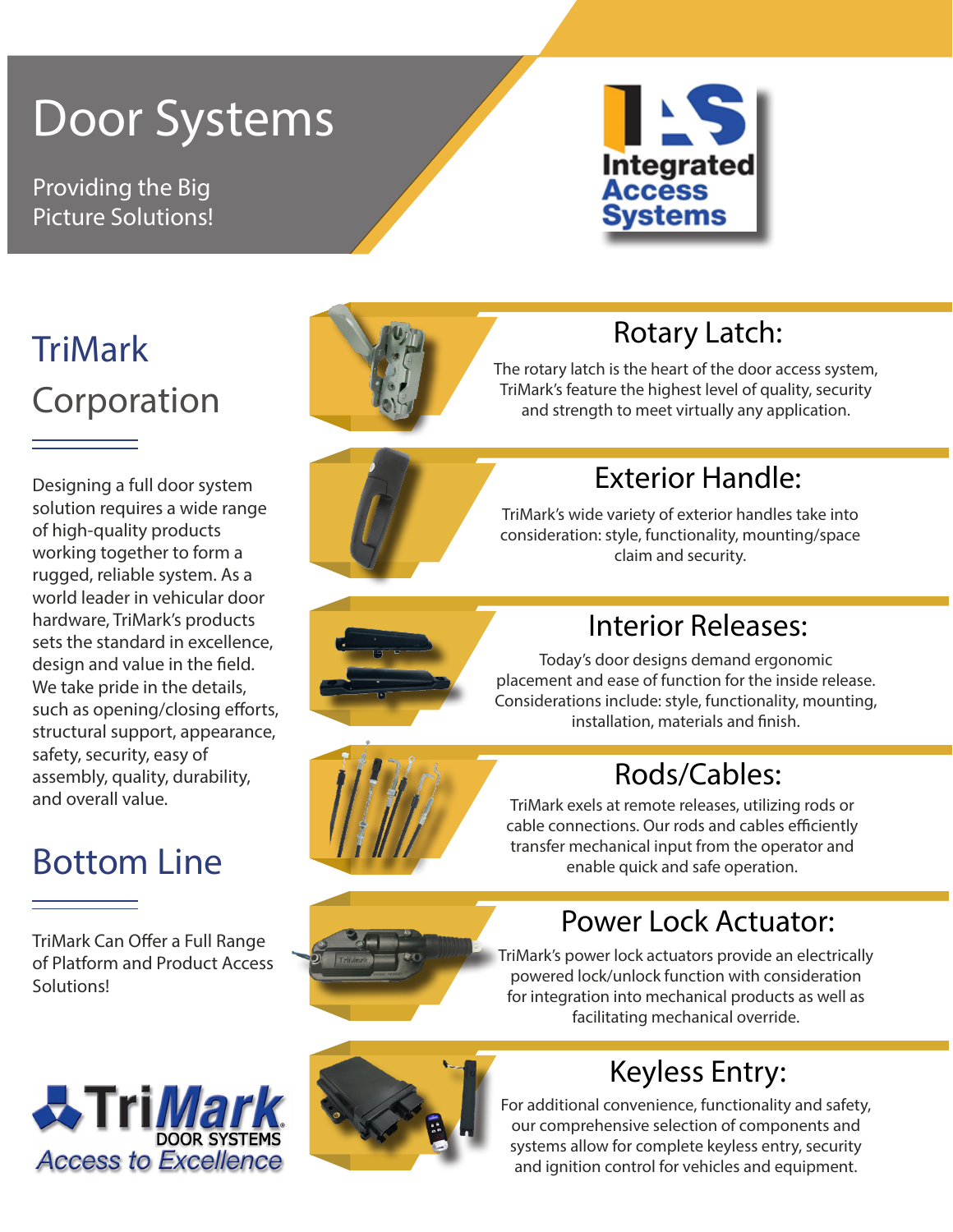# Door Systems

Providing the Big Picture Solutions!



# TriMark Corporation

Designing a full door system solution requires a wide range of high-quality products working together to form a rugged, reliable system. As a world leader in vehicular door hardware, TriMark's products sets the standard in excellence, design and value in the field. We take pride in the details, such as opening/closing efforts, structural support, appearance, safety, security, easy of assembly, quality, durability, and overall value.

# Bottom Line

TriMark Can Offer a Full Range of Platform and Product Access Solutions!





### Rotary Latch:

The rotary latch is the heart of the door access system, TriMark's feature the highest level of quality, security and strength to meet virtually any application.



## Exterior Handle:

TriMark's wide variety of exterior handles take into consideration: style, functionality, mounting/space claim and security.



### Interior Releases:

Today's door designs demand ergonomic placement and ease of function for the inside release. Considerations include: style, functionality, mounting, installation, materials and finish.

### Rods/Cables:

TriMark exels at remote releases, utilizing rods or cable connections. Our rods and cables efficiently transfer mechanical input from the operator and enable quick and safe operation.



TriMark's power lock actuators provide an electrically powered lock/unlock function with consideration for integration into mechanical products as well as facilitating mechanical override.

Power Lock Actuator:



# Keyless Entry:

For additional convenience, functionality and safety, our comprehensive selection of components and systems allow for complete keyless entry, security and ignition control for vehicles and equipment.